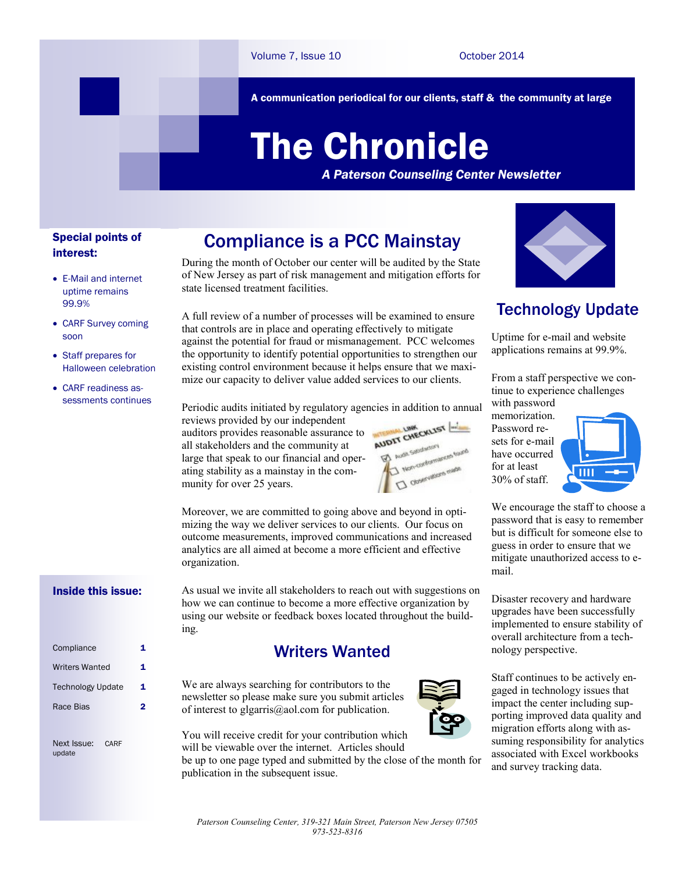A communication periodical for our clients, staff & the community at large

# The Chronicle

*A Paterson Counseling Center Newsletter*

#### Special points of interest:

- E-Mail and internet uptime remains 99.9%
- CARF Survey coming soon
- Staff prepares for Halloween celebration
- CARF readiness assessments continues

# Compliance is a PCC Mainstay

During the month of October our center will be audited by the State of New Jersey as part of risk management and mitigation efforts for state licensed treatment facilities.

A full review of a number of processes will be examined to ensure that controls are in place and operating effectively to mitigate against the potential for fraud or mismanagement. PCC welcomes the opportunity to identify potential opportunities to strengthen our existing control environment because it helps ensure that we maximize our capacity to deliver value added services to our clients.

Periodic audits initiated by regulatory agencies in addition to annual

reviews provided by our independent auditors provides reasonable assurance to all stakeholders and the community at large that speak to our financial and operating stability as a mainstay in the community for over 25 years.



Moreover, we are committed to going above and beyond in optimizing the way we deliver services to our clients. Our focus on outcome measurements, improved communications and increased analytics are all aimed at become a more efficient and effective organization.

#### Inside this issue:

| Compliance               | 1 |
|--------------------------|---|
| <b>Writers Wanted</b>    | 1 |
| <b>Technology Update</b> | 1 |
| Race Bias                | 2 |
|                          |   |
|                          |   |

Next Issue: CARF update

As usual we invite all stakeholders to reach out with suggestions on how we can continue to become a more effective organization by using our website or feedback boxes located throughout the building.

## Writers Wanted

We are always searching for contributors to the newsletter so please make sure you submit articles of interest to glgarris@aol.com for publication.



You will receive credit for your contribution which will be viewable over the internet. Articles should

be up to one page typed and submitted by the close of the month for publication in the subsequent issue.



## Technology Update

Uptime for e-mail and website applications remains at 99.9%.

From a staff perspective we continue to experience challenges with password

memorization. Password resets for e-mail have occurred for at least 30% of staff.



We encourage the staff to choose a password that is easy to remember but is difficult for someone else to guess in order to ensure that we mitigate unauthorized access to email.

Disaster recovery and hardware upgrades have been successfully implemented to ensure stability of overall architecture from a technology perspective.

Staff continues to be actively engaged in technology issues that impact the center including supporting improved data quality and migration efforts along with assuming responsibility for analytics associated with Excel workbooks and survey tracking data.